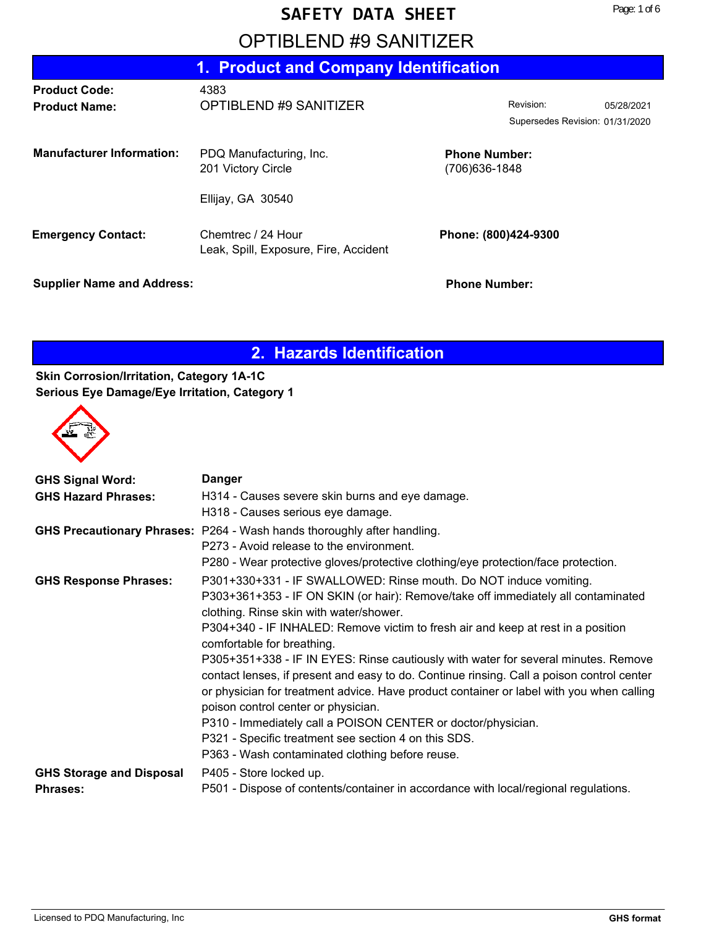## OPTIBLEND #9 SANITIZER

|                                              | 1. Product and Company Identification                       |                                              |            |
|----------------------------------------------|-------------------------------------------------------------|----------------------------------------------|------------|
| <b>Product Code:</b><br><b>Product Name:</b> | 4383<br>OPTIBLEND #9 SANITIZER                              | Revision:<br>Supersedes Revision: 01/31/2020 | 05/28/2021 |
| <b>Manufacturer Information:</b>             | PDQ Manufacturing, Inc.<br>201 Victory Circle               | <b>Phone Number:</b><br>(706) 636-1848       |            |
|                                              | Ellijay, GA 30540                                           |                                              |            |
| <b>Emergency Contact:</b>                    | Chemtrec / 24 Hour<br>Leak, Spill, Exposure, Fire, Accident | Phone: (800)424-9300                         |            |
| <b>Supplier Name and Address:</b>            |                                                             | <b>Phone Number:</b>                         |            |

## **2. Hazards Identification**

#### **Skin Corrosion/Irritation, Category 1A-1C Serious Eye Damage/Eye Irritation, Category 1**



| <b>GHS Signal Word:</b>         | <b>Danger</b>                                                                                                                                                                                                                                                                                                      |
|---------------------------------|--------------------------------------------------------------------------------------------------------------------------------------------------------------------------------------------------------------------------------------------------------------------------------------------------------------------|
| <b>GHS Hazard Phrases:</b>      | H314 - Causes severe skin burns and eye damage.                                                                                                                                                                                                                                                                    |
|                                 | H318 - Causes serious eye damage.                                                                                                                                                                                                                                                                                  |
|                                 | GHS Precautionary Phrases: P264 - Wash hands thoroughly after handling.                                                                                                                                                                                                                                            |
|                                 | P273 - Avoid release to the environment.                                                                                                                                                                                                                                                                           |
|                                 | P280 - Wear protective gloves/protective clothing/eye protection/face protection.                                                                                                                                                                                                                                  |
| <b>GHS Response Phrases:</b>    | P301+330+331 - IF SWALLOWED: Rinse mouth. Do NOT induce vomiting.                                                                                                                                                                                                                                                  |
|                                 | P303+361+353 - IF ON SKIN (or hair): Remove/take off immediately all contaminated<br>clothing. Rinse skin with water/shower.                                                                                                                                                                                       |
|                                 | P304+340 - IF INHALED: Remove victim to fresh air and keep at rest in a position<br>comfortable for breathing.                                                                                                                                                                                                     |
|                                 | P305+351+338 - IF IN EYES: Rinse cautiously with water for several minutes. Remove<br>contact lenses, if present and easy to do. Continue rinsing. Call a poison control center<br>or physician for treatment advice. Have product container or label with you when calling<br>poison control center or physician. |
|                                 | P310 - Immediately call a POISON CENTER or doctor/physician.                                                                                                                                                                                                                                                       |
|                                 | P321 - Specific treatment see section 4 on this SDS.                                                                                                                                                                                                                                                               |
|                                 | P363 - Wash contaminated clothing before reuse.                                                                                                                                                                                                                                                                    |
| <b>GHS Storage and Disposal</b> | P405 - Store locked up.                                                                                                                                                                                                                                                                                            |
| <b>Phrases:</b>                 | P501 - Dispose of contents/container in accordance with local/regional regulations.                                                                                                                                                                                                                                |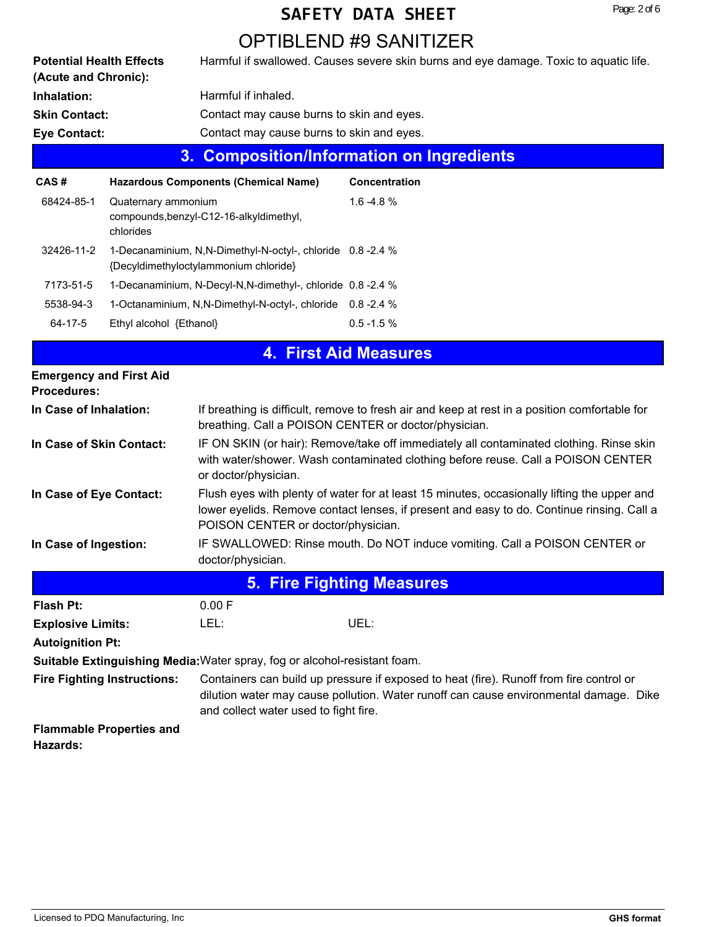## OPTIBLEND #9 SANITIZER

|                                                         |                                  |                                                                                                    | OPTIBLEND #9 SANITIZER                                                                                                                                                                   |
|---------------------------------------------------------|----------------------------------|----------------------------------------------------------------------------------------------------|------------------------------------------------------------------------------------------------------------------------------------------------------------------------------------------|
| <b>Potential Health Effects</b><br>(Acute and Chronic): |                                  |                                                                                                    | Harmful if swallowed. Causes severe skin burns and eye damage. Toxic to aquatic life.                                                                                                    |
| Inhalation:                                             |                                  | Harmful if inhaled.                                                                                |                                                                                                                                                                                          |
| <b>Skin Contact:</b>                                    |                                  | Contact may cause burns to skin and eyes.                                                          |                                                                                                                                                                                          |
| <b>Eye Contact:</b>                                     |                                  | Contact may cause burns to skin and eyes.                                                          |                                                                                                                                                                                          |
|                                                         | 3.                               |                                                                                                    | <b>Composition/Information on Ingredients</b>                                                                                                                                            |
| CAS#                                                    |                                  | <b>Hazardous Components (Chemical Name)</b>                                                        | <b>Concentration</b>                                                                                                                                                                     |
| 68424-85-1                                              | Quaternary ammonium<br>chlorides | compounds, benzyl-C12-16-alkyldimethyl,                                                            | $1.6 - 4.8%$                                                                                                                                                                             |
| 32426-11-2                                              |                                  | 1-Decanaminium, N,N-Dimethyl-N-octyl-, chloride 0.8-2.4 %<br>{Decyldimethyloctylammonium chloride} |                                                                                                                                                                                          |
| 7173-51-5                                               |                                  | 1-Decanaminium, N-Decyl-N,N-dimethyl-, chloride 0.8 -2.4 %                                         |                                                                                                                                                                                          |
| 5538-94-3                                               |                                  | 1-Octanaminium, N,N-Dimethyl-N-octyl-, chloride 0.8-2.4 %                                          |                                                                                                                                                                                          |
| $64 - 17 - 5$                                           | Ethyl alcohol {Ethanol}          |                                                                                                    | $0.5 - 1.5 %$                                                                                                                                                                            |
|                                                         |                                  |                                                                                                    | <b>4. First Aid Measures</b>                                                                                                                                                             |
| <b>Emergency and First Aid</b><br><b>Procedures:</b>    |                                  |                                                                                                    |                                                                                                                                                                                          |
| In Case of Inhalation:                                  |                                  | breathing. Call a POISON CENTER or doctor/physician.                                               | If breathing is difficult, remove to fresh air and keep at rest in a position comfortable for                                                                                            |
| In Case of Skin Contact:                                |                                  | or doctor/physician.                                                                               | IF ON SKIN (or hair): Remove/take off immediately all contaminated clothing. Rinse skin<br>with water/shower. Wash contaminated clothing before reuse. Call a POISON CENTER              |
| In Case of Eye Contact:                                 |                                  | POISON CENTER or doctor/physician.                                                                 | Flush eyes with plenty of water for at least 15 minutes, occasionally lifting the upper and<br>lower eyelids. Remove contact lenses, if present and easy to do. Continue rinsing. Call a |

IF SWALLOWED: Rinse mouth. Do NOT induce vomiting. Call a POISON CENTER or doctor/physician. **In Case of Ingestion:**

|                                                                                  |                                       | <b>5. Fire Fighting Measures</b>                                                                                                                                                 |
|----------------------------------------------------------------------------------|---------------------------------------|----------------------------------------------------------------------------------------------------------------------------------------------------------------------------------|
| <b>Flash Pt:</b>                                                                 | 0.00 F                                |                                                                                                                                                                                  |
| <b>Explosive Limits:</b>                                                         | LEL:                                  | UEL:                                                                                                                                                                             |
| <b>Autoignition Pt:</b>                                                          |                                       |                                                                                                                                                                                  |
| <b>Suitable Extinguishing Media: Water spray, fog or alcohol-resistant foam.</b> |                                       |                                                                                                                                                                                  |
| <b>Fire Fighting Instructions:</b>                                               | and collect water used to fight fire. | Containers can build up pressure if exposed to heat (fire). Runoff from fire control or<br>dilution water may cause pollution. Water runoff can cause environmental damage. Dike |
| <b>Flammable Properties and</b><br>Hazards:                                      |                                       |                                                                                                                                                                                  |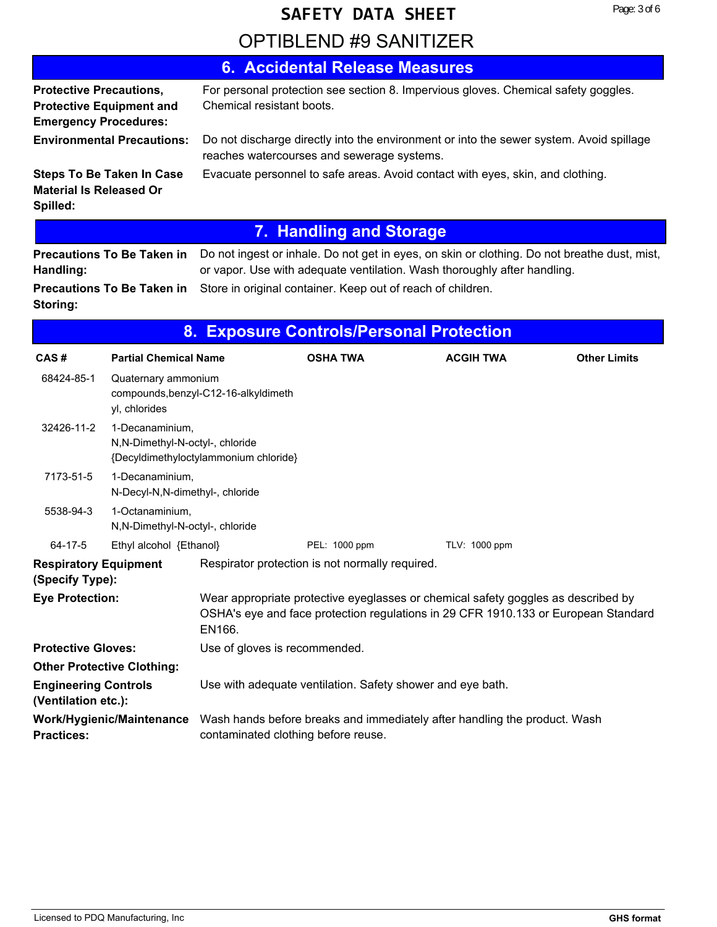# OPTIBLEND #9 SANITIZER **SAFETY DATA SHEET**

|                                                                |                                   | <b>6. Accidental Release Measures</b>                                                                                                                                    |                  |                     |
|----------------------------------------------------------------|-----------------------------------|--------------------------------------------------------------------------------------------------------------------------------------------------------------------------|------------------|---------------------|
| <b>Protective Precautions,</b><br><b>Emergency Procedures:</b> | <b>Protective Equipment and</b>   | For personal protection see section 8. Impervious gloves. Chemical safety goggles.<br>Chemical resistant boots.                                                          |                  |                     |
|                                                                | <b>Environmental Precautions:</b> | Do not discharge directly into the environment or into the sewer system. Avoid spillage<br>reaches watercourses and sewerage systems.                                    |                  |                     |
| <b>Material Is Released Or</b><br>Spilled:                     | <b>Steps To Be Taken In Case</b>  | Evacuate personnel to safe areas. Avoid contact with eyes, skin, and clothing.                                                                                           |                  |                     |
|                                                                |                                   | <b>7. Handling and Storage</b>                                                                                                                                           |                  |                     |
| Handling:                                                      | <b>Precautions To Be Taken in</b> | Do not ingest or inhale. Do not get in eyes, on skin or clothing. Do not breathe dust, mist,<br>or vapor. Use with adequate ventilation. Wash thoroughly after handling. |                  |                     |
| Storing:                                                       | <b>Precautions To Be Taken in</b> | Store in original container. Keep out of reach of children.                                                                                                              |                  |                     |
|                                                                | 8.                                | <b>Exposure Controls/Personal Protection</b>                                                                                                                             |                  |                     |
| CAS#                                                           | <b>Partial Chemical Name</b>      | <b>OSHA TWA</b>                                                                                                                                                          | <b>ACGIH TWA</b> | <b>Other Limits</b> |
| 68424-85-1                                                     | Quaternary ammonium               |                                                                                                                                                                          |                  |                     |

|                                                    | yl, chlorides                                       | compounds, benzyl-C12-16-alkyldimeth  |                                                            |                                                                                                                                                                         |  |
|----------------------------------------------------|-----------------------------------------------------|---------------------------------------|------------------------------------------------------------|-------------------------------------------------------------------------------------------------------------------------------------------------------------------------|--|
| 32426-11-2                                         | 1-Decanaminium.<br>N,N-Dimethyl-N-octyl-, chloride  | {Decyldimethyloctylammonium chloride} |                                                            |                                                                                                                                                                         |  |
| 7173-51-5                                          | 1-Decanaminium,<br>N-Decyl-N, N-dimethyl-, chloride |                                       |                                                            |                                                                                                                                                                         |  |
| 5538-94-3                                          | 1-Octanaminium,<br>N,N-Dimethyl-N-octyl-, chloride  |                                       |                                                            |                                                                                                                                                                         |  |
| 64-17-5                                            | Ethyl alcohol {Ethanol}                             |                                       | PEL: 1000 ppm                                              | TLV: 1000 ppm                                                                                                                                                           |  |
| <b>Respiratory Equipment</b><br>(Specify Type):    |                                                     |                                       | Respirator protection is not normally required.            |                                                                                                                                                                         |  |
| <b>Eye Protection:</b>                             |                                                     | EN166.                                |                                                            | Wear appropriate protective eyeglasses or chemical safety goggles as described by<br>OSHA's eye and face protection regulations in 29 CFR 1910.133 or European Standard |  |
| <b>Protective Gloves:</b>                          |                                                     | Use of gloves is recommended.         |                                                            |                                                                                                                                                                         |  |
|                                                    | <b>Other Protective Clothing:</b>                   |                                       |                                                            |                                                                                                                                                                         |  |
| <b>Engineering Controls</b><br>(Ventilation etc.): |                                                     |                                       | Use with adequate ventilation. Safety shower and eye bath. |                                                                                                                                                                         |  |
| <b>Practices:</b>                                  | Work/Hygienic/Maintenance                           | contaminated clothing before reuse.   |                                                            | Wash hands before breaks and immediately after handling the product. Wash                                                                                               |  |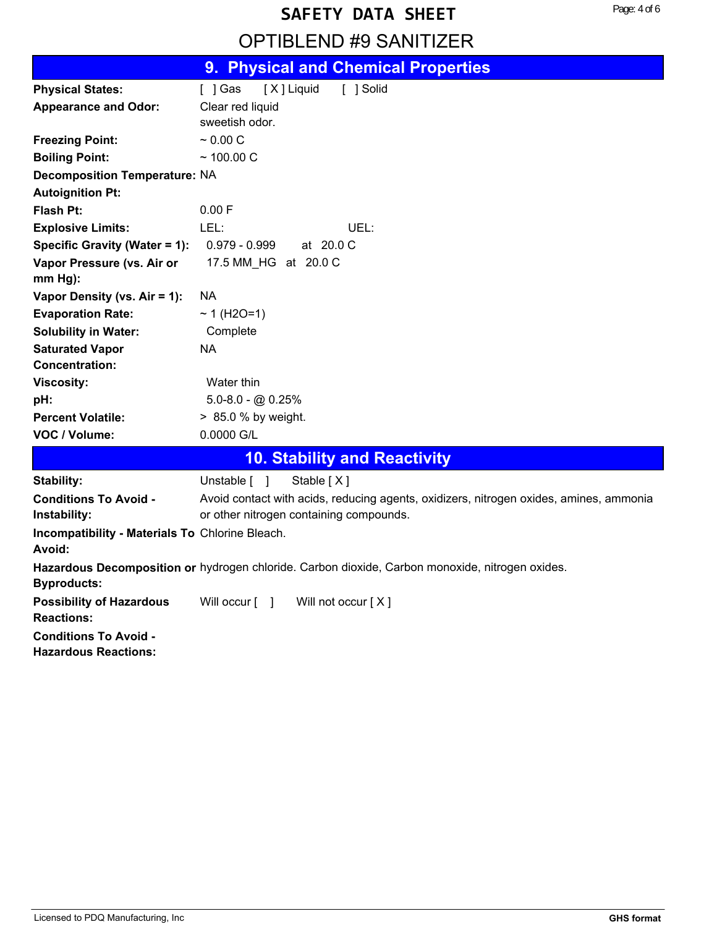## OPTIBLEND #9 SANITIZER

|                                                 | 9. Physical and Chemical Properties                                                             |
|-------------------------------------------------|-------------------------------------------------------------------------------------------------|
| <b>Physical States:</b>                         | [X] Liquid<br>$[$ ] Gas<br>[ ] Solid                                                            |
| <b>Appearance and Odor:</b>                     | Clear red liquid                                                                                |
|                                                 | sweetish odor.                                                                                  |
| <b>Freezing Point:</b>                          | ~0.00~C                                                                                         |
| <b>Boiling Point:</b>                           | $~100.00$ C                                                                                     |
| <b>Decomposition Temperature: NA</b>            |                                                                                                 |
| <b>Autoignition Pt:</b>                         |                                                                                                 |
| <b>Flash Pt:</b>                                | 0.00 F                                                                                          |
| <b>Explosive Limits:</b>                        | LEL:<br>UEL:                                                                                    |
| Specific Gravity (Water = 1):                   | $0.979 - 0.999$<br>at 20.0 C                                                                    |
| Vapor Pressure (vs. Air or                      | 17.5 MM HG at 20.0 C                                                                            |
| $mm Hg$ ):                                      |                                                                                                 |
| Vapor Density (vs. Air = 1):                    | NA.                                                                                             |
| <b>Evaporation Rate:</b>                        | $~1$ (H2O=1)                                                                                    |
| <b>Solubility in Water:</b>                     | Complete                                                                                        |
| <b>Saturated Vapor</b>                          | <b>NA</b>                                                                                       |
| <b>Concentration:</b>                           |                                                                                                 |
| <b>Viscosity:</b>                               | Water thin                                                                                      |
| pH:                                             | $5.0 - 8.0 - \omega$ 0.25%                                                                      |
| <b>Percent Volatile:</b>                        | > 85.0 % by weight.                                                                             |
| VOC / Volume:                                   | 0.0000 G/L                                                                                      |
|                                                 | <b>10. Stability and Reactivity</b>                                                             |
| Stability:                                      | Unstable [ ]<br>Stable $[X]$                                                                    |
| <b>Conditions To Avoid -</b>                    | Avoid contact with acids, reducing agents, oxidizers, nitrogen oxides, amines, ammonia          |
| Instability:                                    | or other nitrogen containing compounds.                                                         |
| Incompatibility - Materials To Chlorine Bleach. |                                                                                                 |
| Avoid:                                          |                                                                                                 |
| <b>Byproducts:</b>                              | Hazardous Decomposition or hydrogen chloride. Carbon dioxide, Carbon monoxide, nitrogen oxides. |
| <b>Possibility of Hazardous</b>                 | Will occur $\begin{bmatrix} 1 \end{bmatrix}$<br>Will not occur $[X]$                            |
| <b>Reactions:</b>                               |                                                                                                 |
| <b>Conditions To Avoid -</b>                    |                                                                                                 |
| <b>Hazardous Reactions:</b>                     |                                                                                                 |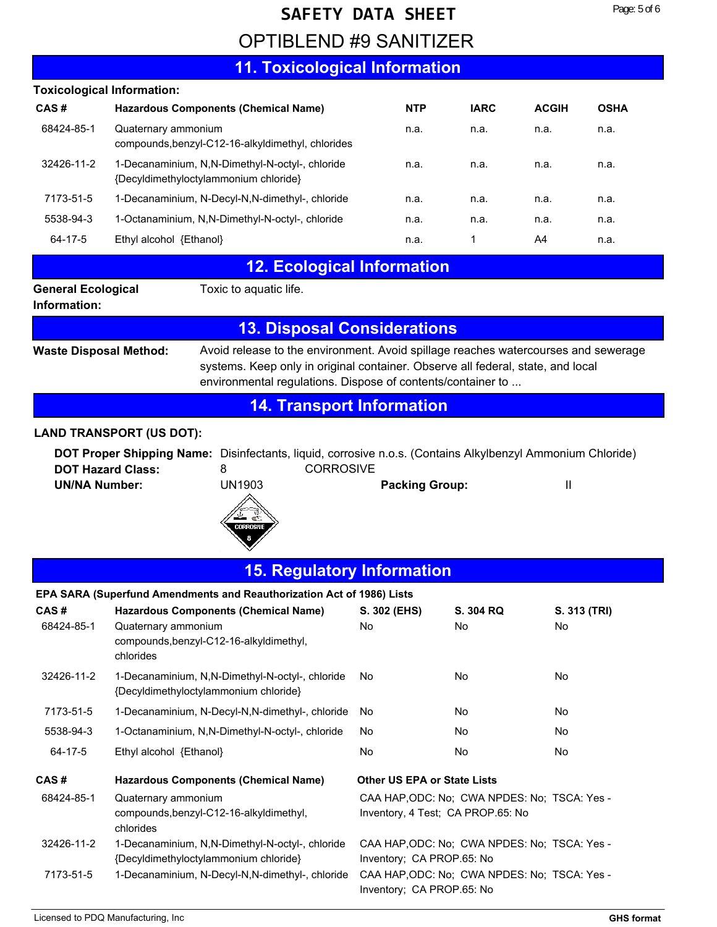## OPTIBLEND #9 SANITIZER

### **11. Toxicological Information**

| <b>Toxicological Information:</b>         |                                                                                          |            |             |              |             |
|-------------------------------------------|------------------------------------------------------------------------------------------|------------|-------------|--------------|-------------|
| CAS#                                      | <b>Hazardous Components (Chemical Name)</b>                                              | <b>NTP</b> | <b>IARC</b> | <b>ACGIH</b> | <b>OSHA</b> |
| 68424-85-1                                | Quaternary ammonium<br>compounds, benzyl-C12-16-alkyldimethyl, chlorides                 | n.a.       | n.a.        | n.a.         | n.a.        |
| 32426-11-2                                | 1-Decanaminium, N,N-Dimethyl-N-octyl-, chloride<br>{Decyldimethyloctylammonium chloride} | n.a.       | n.a.        | n.a.         | n.a.        |
| 7173-51-5                                 | 1-Decanaminium, N-Decyl-N, N-dimethyl-, chloride                                         | n.a.       | n.a.        | n.a.         | n.a.        |
| 5538-94-3                                 | 1-Octanaminium, N.N-Dimethyl-N-octyl-, chloride                                          | n.a.       | n.a.        | n.a.         | n.a.        |
| 64-17-5                                   | Ethyl alcohol {Ethanol}                                                                  | n.a.       | 1           | A4           | n.a.        |
|                                           | <b>12. Ecological Information</b>                                                        |            |             |              |             |
| <b>General Ecological</b><br>Information: | Toxic to aquatic life.                                                                   |            |             |              |             |

### **13. Disposal Considerations**

**Waste Disposal Method:**

Avoid release to the environment. Avoid spillage reaches watercourses and sewerage systems. Keep only in original container. Observe all federal, state, and local environmental regulations. Dispose of contents/container to ...

Inventory; CA PROP.65: No

### **14. Transport Information**

#### **LAND TRANSPORT (US DOT):**

**DOT Proper Shipping Name:** Disinfectants, liquid, corrosive n.o.s. (Contains Alkylbenzyl Ammonium Chloride) **DOT Hazard Class:** 8 **CORROSIVE UN/NA Number:** UN1903 **Packing Group:** II



#### **15. Regulatory Information**

|            | <u>Number 200</u>                                                                        |                                    |                                                                                   |              |
|------------|------------------------------------------------------------------------------------------|------------------------------------|-----------------------------------------------------------------------------------|--------------|
|            | EPA SARA (Superfund Amendments and Reauthorization Act of 1986) Lists                    |                                    |                                                                                   |              |
| CAS #      | <b>Hazardous Components (Chemical Name)</b>                                              | S. 302 (EHS)                       | S. 304 RQ                                                                         | S. 313 (TRI) |
| 68424-85-1 | Quaternary ammonium<br>compounds, benzyl-C12-16-alkyldimethyl,<br>chlorides              | No.                                | No.                                                                               | No.          |
| 32426-11-2 | 1-Decanaminium, N,N-Dimethyl-N-octyl-, chloride<br>{Decyldimethyloctylammonium chloride} | No.                                | No.                                                                               | No.          |
| 7173-51-5  | 1-Decanaminium, N-Decyl-N,N-dimethyl-, chloride                                          | No                                 | No                                                                                | No.          |
| 5538-94-3  | 1-Octanaminium, N,N-Dimethyl-N-octyl-, chloride                                          | No                                 | No                                                                                | No.          |
| 64-17-5    | Ethyl alcohol {Ethanol}                                                                  | No                                 | No                                                                                | No.          |
| CAS #      | <b>Hazardous Components (Chemical Name)</b>                                              | <b>Other US EPA or State Lists</b> |                                                                                   |              |
| 68424-85-1 | Quaternary ammonium<br>compounds, benzyl-C12-16-alkyldimethyl,<br>chlorides              |                                    | CAA HAP, ODC: No: CWA NPDES: No: TSCA: Yes -<br>Inventory, 4 Test; CA PROP.65: No |              |
| 32426-11-2 | 1-Decanaminium, N,N-Dimethyl-N-octyl-, chloride<br>{Decyldimethyloctylammonium chloride} | Inventory; CA PROP.65: No          | CAA HAP, ODC: No: CWA NPDES: No: TSCA: Yes -                                      |              |

7173-51-5 1-Decanaminium, N-Decyl-N,N-dimethyl-, chloride CAA HAP,ODC: No; CWA NPDES: No; TSCA: Yes -